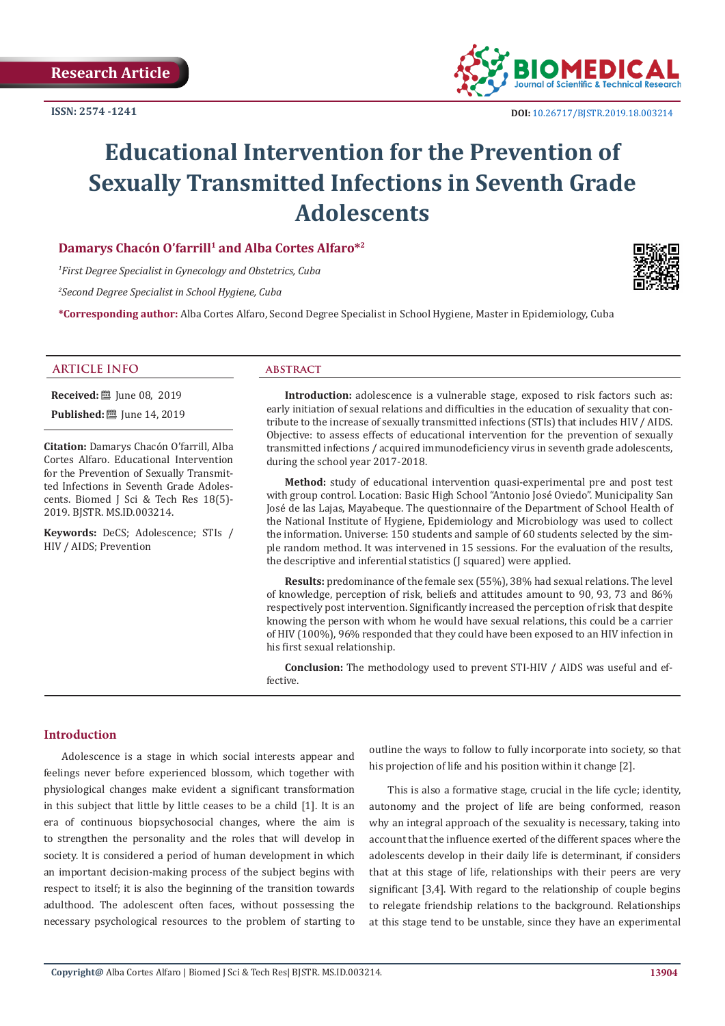

# **Educational Intervention for the Prevention of Sexually Transmitted Infections in Seventh Grade Adolescents**

# **Damarys Chacón O'farrill<sup>1</sup> and Alba Cortes Alfaro\*2**

*1 First Degree Specialist in Gynecology and Obstetrics, Cuba*

*2 Second Degree Specialist in School Hygiene, Cuba*

**\*Corresponding author:** Alba Cortes Alfaro, Second Degree Specialist in School Hygiene, Master in Epidemiology, Cuba



**Received:** ■ June 08, 2019 **Published:** [Une 14, 2019]

**Citation:** Damarys Chacón O'farrill, Alba Cortes Alfaro. Educational Intervention for the Prevention of Sexually Transmitted Infections in Seventh Grade Adolescents. Biomed J Sci & Tech Res 18(5)- 2019. BJSTR. MS.ID.003214.

**Keywords:** DeCS; Adolescence; STIs / HIV / AIDS; Prevention

**Introduction:** adolescence is a vulnerable stage, exposed to risk factors such as: early initiation of sexual relations and difficulties in the education of sexuality that contribute to the increase of sexually transmitted infections (STIs) that includes HIV / AIDS. Objective: to assess effects of educational intervention for the prevention of sexually transmitted infections / acquired immunodeficiency virus in seventh grade adolescents, during the school year 2017-2018.

**Method:** study of educational intervention quasi-experimental pre and post test with group control. Location: Basic High School "Antonio José Oviedo". Municipality San José de las Lajas, Mayabeque. The questionnaire of the Department of School Health of the National Institute of Hygiene, Epidemiology and Microbiology was used to collect the information. Universe: 150 students and sample of 60 students selected by the simple random method. It was intervened in 15 sessions. For the evaluation of the results, the descriptive and inferential statistics (J squared) were applied.

**Results:** predominance of the female sex (55%), 38% had sexual relations. The level of knowledge, perception of risk, beliefs and attitudes amount to 90, 93, 73 and 86% respectively post intervention. Significantly increased the perception of risk that despite knowing the person with whom he would have sexual relations, this could be a carrier of HIV (100%), 96% responded that they could have been exposed to an HIV infection in his first sexual relationship.

**Conclusion:** The methodology used to prevent STI-HIV / AIDS was useful and effective.

#### **Introduction**

Adolescence is a stage in which social interests appear and feelings never before experienced blossom, which together with physiological changes make evident a significant transformation in this subject that little by little ceases to be a child [1]. It is an era of continuous biopsychosocial changes, where the aim is to strengthen the personality and the roles that will develop in society. It is considered a period of human development in which an important decision-making process of the subject begins with respect to itself; it is also the beginning of the transition towards adulthood. The adolescent often faces, without possessing the necessary psychological resources to the problem of starting to

outline the ways to follow to fully incorporate into society, so that his projection of life and his position within it change [2].

This is also a formative stage, crucial in the life cycle; identity, autonomy and the project of life are being conformed, reason why an integral approach of the sexuality is necessary, taking into account that the influence exerted of the different spaces where the adolescents develop in their daily life is determinant, if considers that at this stage of life, relationships with their peers are very significant [3,4]. With regard to the relationship of couple begins to relegate friendship relations to the background. Relationships at this stage tend to be unstable, since they have an experimental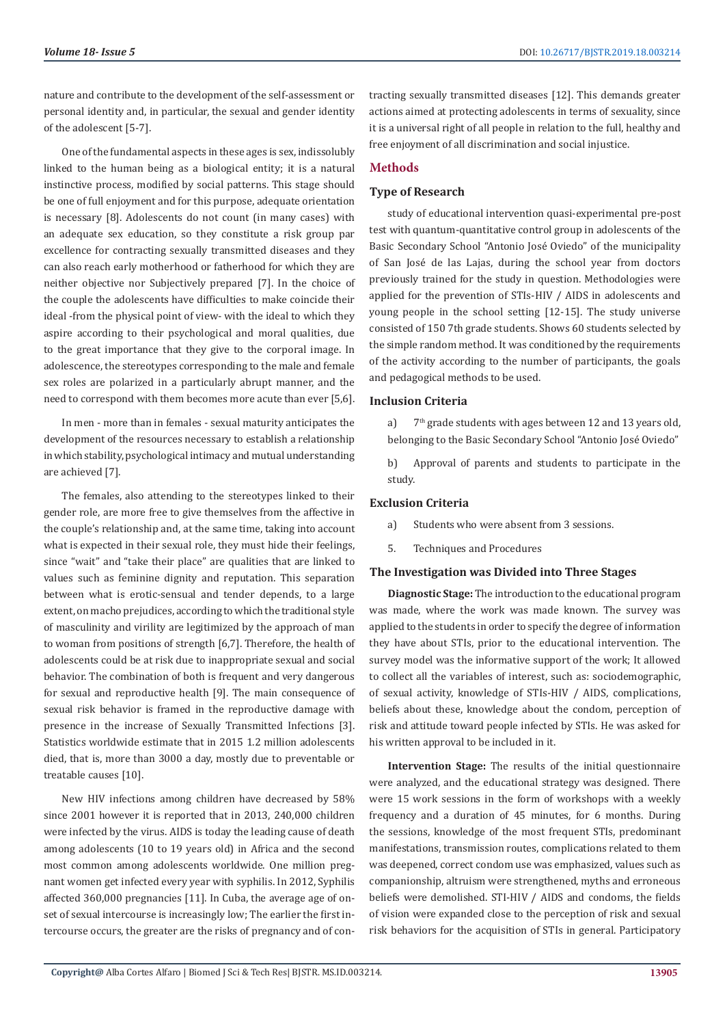nature and contribute to the development of the self-assessment or personal identity and, in particular, the sexual and gender identity of the adolescent [5-7].

One of the fundamental aspects in these ages is sex, indissolubly linked to the human being as a biological entity; it is a natural instinctive process, modified by social patterns. This stage should be one of full enjoyment and for this purpose, adequate orientation is necessary [8]. Adolescents do not count (in many cases) with an adequate sex education, so they constitute a risk group par excellence for contracting sexually transmitted diseases and they can also reach early motherhood or fatherhood for which they are neither objective nor Subjectively prepared [7]. In the choice of the couple the adolescents have difficulties to make coincide their ideal -from the physical point of view- with the ideal to which they aspire according to their psychological and moral qualities, due to the great importance that they give to the corporal image. In adolescence, the stereotypes corresponding to the male and female sex roles are polarized in a particularly abrupt manner, and the need to correspond with them becomes more acute than ever [5,6].

In men - more than in females - sexual maturity anticipates the development of the resources necessary to establish a relationship in which stability, psychological intimacy and mutual understanding are achieved [7].

The females, also attending to the stereotypes linked to their gender role, are more free to give themselves from the affective in the couple's relationship and, at the same time, taking into account what is expected in their sexual role, they must hide their feelings, since "wait" and "take their place" are qualities that are linked to values such as feminine dignity and reputation. This separation between what is erotic-sensual and tender depends, to a large extent, on macho prejudices, according to which the traditional style of masculinity and virility are legitimized by the approach of man to woman from positions of strength [6,7]. Therefore, the health of adolescents could be at risk due to inappropriate sexual and social behavior. The combination of both is frequent and very dangerous for sexual and reproductive health [9]. The main consequence of sexual risk behavior is framed in the reproductive damage with presence in the increase of Sexually Transmitted Infections [3]. Statistics worldwide estimate that in 2015 1.2 million adolescents died, that is, more than 3000 a day, mostly due to preventable or treatable causes [10].

New HIV infections among children have decreased by 58% since 2001 however it is reported that in 2013, 240,000 children were infected by the virus. AIDS is today the leading cause of death among adolescents (10 to 19 years old) in Africa and the second most common among adolescents worldwide. One million pregnant women get infected every year with syphilis. In 2012, Syphilis affected 360,000 pregnancies [11]. In Cuba, the average age of onset of sexual intercourse is increasingly low; The earlier the first intercourse occurs, the greater are the risks of pregnancy and of contracting sexually transmitted diseases [12]. This demands greater actions aimed at protecting adolescents in terms of sexuality, since it is a universal right of all people in relation to the full, healthy and free enjoyment of all discrimination and social injustice.

# **Methods**

# **Type of Research**

study of educational intervention quasi-experimental pre-post test with quantum-quantitative control group in adolescents of the Basic Secondary School "Antonio José Oviedo" of the municipality of San José de las Lajas, during the school year from doctors previously trained for the study in question. Methodologies were applied for the prevention of STIs-HIV / AIDS in adolescents and young people in the school setting [12-15]. The study universe consisted of 150 7th grade students. Shows 60 students selected by the simple random method. It was conditioned by the requirements of the activity according to the number of participants, the goals and pedagogical methods to be used.

# **Inclusion Criteria**

a)  $7<sup>th</sup>$  grade students with ages between 12 and 13 years old, belonging to the Basic Secondary School "Antonio José Oviedo"

b) Approval of parents and students to participate in the study.

# **Exclusion Criteria**

a) Students who were absent from 3 sessions.

5. Techniques and Procedures

# **The Investigation was Divided into Three Stages**

**Diagnostic Stage:** The introduction to the educational program was made, where the work was made known. The survey was applied to the students in order to specify the degree of information they have about STIs, prior to the educational intervention. The survey model was the informative support of the work; It allowed to collect all the variables of interest, such as: sociodemographic, of sexual activity, knowledge of STIs-HIV / AIDS, complications, beliefs about these, knowledge about the condom, perception of risk and attitude toward people infected by STIs. He was asked for his written approval to be included in it.

**Intervention Stage:** The results of the initial questionnaire were analyzed, and the educational strategy was designed. There were 15 work sessions in the form of workshops with a weekly frequency and a duration of 45 minutes, for 6 months. During the sessions, knowledge of the most frequent STIs, predominant manifestations, transmission routes, complications related to them was deepened, correct condom use was emphasized, values such as companionship, altruism were strengthened, myths and erroneous beliefs were demolished. STI-HIV / AIDS and condoms, the fields of vision were expanded close to the perception of risk and sexual risk behaviors for the acquisition of STIs in general. Participatory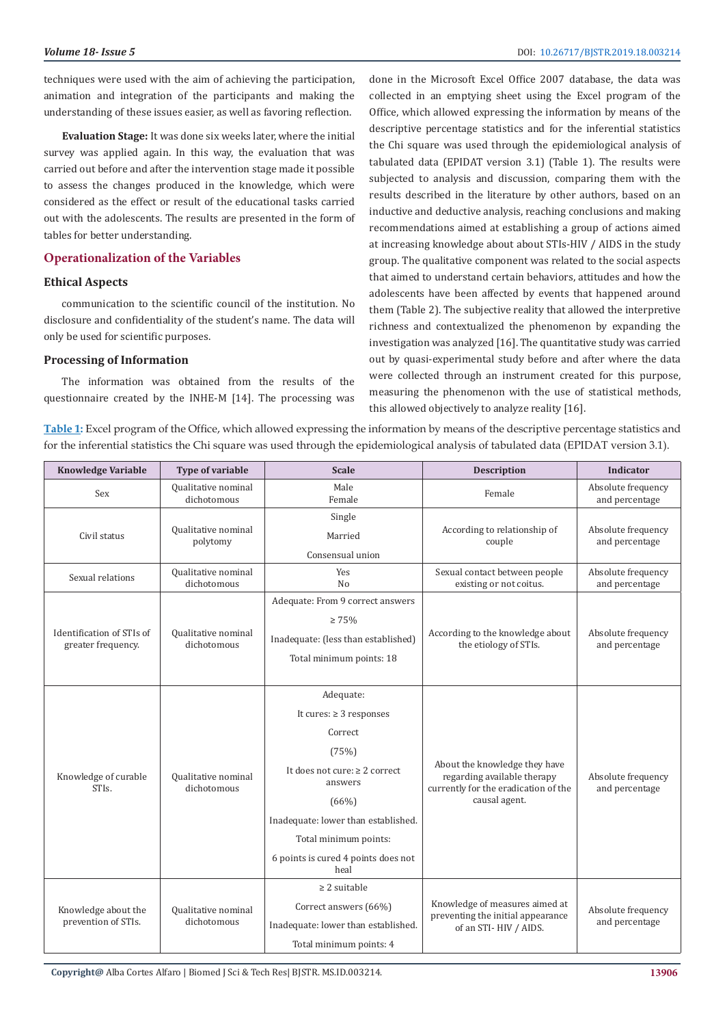done in the Microsoft Excel Office 2007 database, the data was collected in an emptying sheet using the Excel program of the Office, which allowed expressing the information by means of the descriptive percentage statistics and for the inferential statistics the Chi square was used through the epidemiological analysis of tabulated data (EPIDAT version 3.1) (Table 1). The results were subjected to analysis and discussion, comparing them with the results described in the literature by other authors, based on an inductive and deductive analysis, reaching conclusions and making recommendations aimed at establishing a group of actions aimed at increasing knowledge about about STIs-HIV / AIDS in the study

techniques were used with the aim of achieving the participation, animation and integration of the participants and making the understanding of these issues easier, as well as favoring reflection.

**Evaluation Stage:** It was done six weeks later, where the initial survey was applied again. In this way, the evaluation that was carried out before and after the intervention stage made it possible to assess the changes produced in the knowledge, which were considered as the effect or result of the educational tasks carried out with the adolescents. The results are presented in the form of tables for better understanding.

## **Operationalization of the Variables**

#### **Ethical Aspects**

communication to the scientific council of the institution. No disclosure and confidentiality of the student's name. The data will only be used for scientific purposes.

### **Processing of Information**

The information was obtained from the results of the questionnaire created by the INHE-M [14]. The processing was

group. The qualitative component was related to the social aspects that aimed to understand certain behaviors, attitudes and how the adolescents have been affected by events that happened around them (Table 2). The subjective reality that allowed the interpretive richness and contextualized the phenomenon by expanding the investigation was analyzed [16]. The quantitative study was carried out by quasi-experimental study before and after where the data were collected through an instrument created for this purpose, measuring the phenomenon with the use of statistical methods,

this allowed objectively to analyze reality [16].

**Table 1:** Excel program of the Office, which allowed expressing the information by means of the descriptive percentage statistics and for the inferential statistics the Chi square was used through the epidemiological analysis of tabulated data (EPIDAT version 3.1).

| <b>Knowledge Variable</b>                       | <b>Type of variable</b>            | <b>Scale</b>                                                                                                                                                                                                                           | <b>Description</b>                                                                                                    | <b>Indicator</b>                     |
|-------------------------------------------------|------------------------------------|----------------------------------------------------------------------------------------------------------------------------------------------------------------------------------------------------------------------------------------|-----------------------------------------------------------------------------------------------------------------------|--------------------------------------|
| Sex                                             | Qualitative nominal<br>dichotomous | Male<br>Female                                                                                                                                                                                                                         | Female                                                                                                                | Absolute frequency<br>and percentage |
| Civil status                                    | Qualitative nominal<br>polytomy    | Single<br>Married<br>Consensual union                                                                                                                                                                                                  | According to relationship of<br>couple                                                                                | Absolute frequency<br>and percentage |
| Sexual relations                                | Qualitative nominal<br>dichotomous | Yes<br>No                                                                                                                                                                                                                              | Sexual contact between people<br>existing or not coitus.                                                              | Absolute frequency<br>and percentage |
| Identification of STIs of<br>greater frequency. | Qualitative nominal<br>dichotomous | Adequate: From 9 correct answers<br>$\geq 75\%$<br>Inadequate: (less than established)<br>Total minimum points: 18                                                                                                                     | According to the knowledge about<br>the etiology of STIs.                                                             | Absolute frequency<br>and percentage |
| Knowledge of curable<br>STI <sub>s</sub> .      | Qualitative nominal<br>dichotomous | Adequate:<br>It cures: $\geq 3$ responses<br>Correct<br>(75%)<br>It does not cure: $\geq 2$ correct<br>answers<br>(66%)<br>Inadequate: lower than established.<br>Total minimum points:<br>6 points is cured 4 points does not<br>heal | About the knowledge they have<br>regarding available therapy<br>currently for the eradication of the<br>causal agent. | Absolute frequency<br>and percentage |
| Knowledge about the<br>prevention of STIs.      | Qualitative nominal<br>dichotomous | $\geq$ 2 suitable<br>Correct answers (66%)<br>Inadequate: lower than established.<br>Total minimum points: 4                                                                                                                           | Knowledge of measures aimed at<br>preventing the initial appearance<br>of an STI-HIV / AIDS.                          | Absolute frequency<br>and percentage |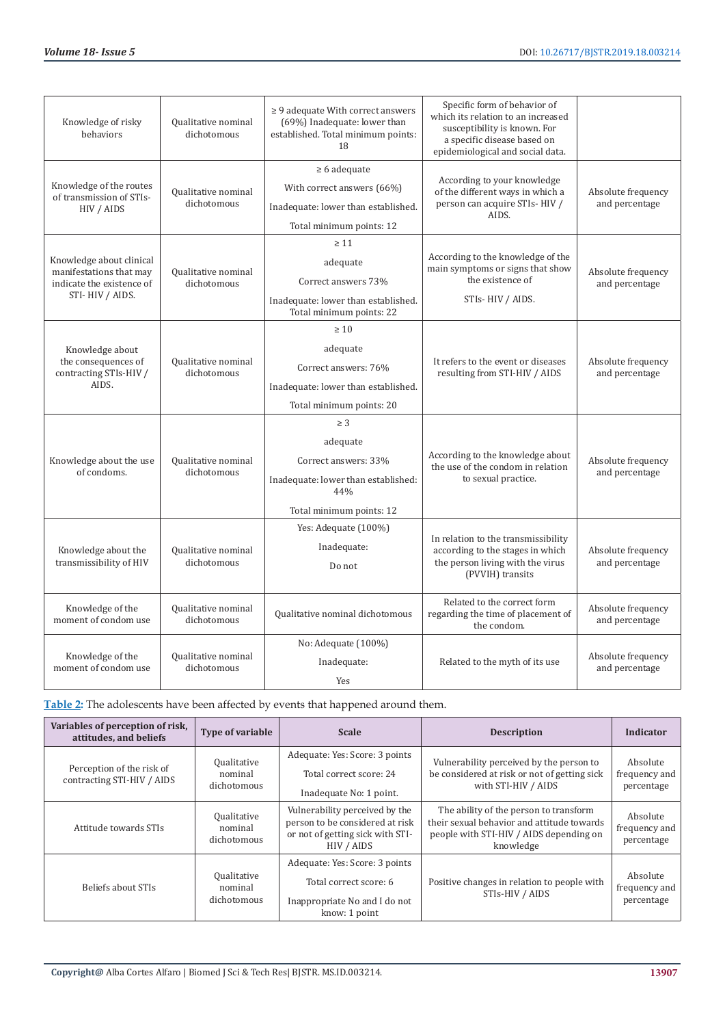| Knowledge of risky<br>behaviors                                                                     | Qualitative nominal<br>dichotomous | $\geq$ 9 adequate With correct answers<br>(69%) Inadequate: lower than<br>established. Total minimum points:<br>18     | Specific form of behavior of<br>which its relation to an increased<br>susceptibility is known. For<br>a specific disease based on<br>epidemiological and social data. |                                      |
|-----------------------------------------------------------------------------------------------------|------------------------------------|------------------------------------------------------------------------------------------------------------------------|-----------------------------------------------------------------------------------------------------------------------------------------------------------------------|--------------------------------------|
| Knowledge of the routes<br>of transmission of STIs-<br>HIV / AIDS                                   | Qualitative nominal<br>dichotomous | $\geq 6$ adequate<br>With correct answers (66%)<br>Inadequate: lower than established.<br>Total minimum points: 12     | According to your knowledge<br>of the different ways in which a<br>person can acquire STIs-HIV /<br>AIDS.                                                             | Absolute frequency<br>and percentage |
| Knowledge about clinical<br>manifestations that may<br>indicate the existence of<br>STI-HIV / AIDS. | Qualitative nominal<br>dichotomous | $\geq 11$<br>adequate<br>Correct answers 73%<br>Inadequate: lower than established.<br>Total minimum points: 22        | According to the knowledge of the<br>main symptoms or signs that show<br>the existence of<br>STIs-HIV / AIDS.                                                         | Absolute frequency<br>and percentage |
| Knowledge about<br>the consequences of<br>contracting STIs-HIV /<br>AIDS.                           | Qualitative nominal<br>dichotomous | $\geq 10$<br>adequate<br>Correct answers: 76%<br>Inadequate: lower than established.<br>Total minimum points: 20       | It refers to the event or diseases<br>resulting from STI-HIV / AIDS                                                                                                   | Absolute frequency<br>and percentage |
| Knowledge about the use<br>of condoms.                                                              | Qualitative nominal<br>dichotomous | $\geq 3$<br>adequate<br>Correct answers: 33%<br>Inadequate: lower than established:<br>44%<br>Total minimum points: 12 | According to the knowledge about<br>the use of the condom in relation<br>to sexual practice.                                                                          | Absolute frequency<br>and percentage |
| Knowledge about the<br>transmissibility of HIV                                                      | Qualitative nominal<br>dichotomous | Yes: Adequate (100%)<br>Inadequate:<br>Do not                                                                          | In relation to the transmissibility<br>according to the stages in which<br>the person living with the virus<br>(PVVIH) transits                                       | Absolute frequency<br>and percentage |
| Knowledge of the<br>moment of condom use                                                            | Qualitative nominal<br>dichotomous | Qualitative nominal dichotomous                                                                                        | Related to the correct form<br>regarding the time of placement of<br>the condom.                                                                                      | Absolute frequency<br>and percentage |
| Knowledge of the<br>moment of condom use                                                            | Qualitative nominal<br>dichotomous | No: Adequate (100%)<br>Inadequate:<br>Yes                                                                              | Related to the myth of its use                                                                                                                                        | Absolute frequency<br>and percentage |

**Table 2:** The adolescents have been affected by events that happened around them.

| Variables of perception of risk,<br>attitudes, and beliefs | <b>Type of variable</b>                      | <b>Scale</b>                                                                                                        | <b>Description</b>                                                                                                                           | Indicator                               |
|------------------------------------------------------------|----------------------------------------------|---------------------------------------------------------------------------------------------------------------------|----------------------------------------------------------------------------------------------------------------------------------------------|-----------------------------------------|
| Perception of the risk of<br>contracting STI-HIV / AIDS    | <b>Qualitative</b><br>nominal<br>dichotomous | Adequate: Yes: Score: 3 points<br>Total correct score: 24<br>Inadequate No: 1 point.                                | Vulnerability perceived by the person to<br>be considered at risk or not of getting sick<br>with STI-HIV / AIDS                              | Absolute<br>frequency and<br>percentage |
| Attitude towards STIs                                      | Qualitative<br>nominal<br>dichotomous        | Vulnerability perceived by the<br>person to be considered at risk<br>or not of getting sick with STI-<br>HIV / AIDS | The ability of the person to transform<br>their sexual behavior and attitude towards<br>people with STI-HIV / AIDS depending on<br>knowledge | Absolute<br>frequency and<br>percentage |
| Beliefs about STIs                                         | Qualitative<br>nominal<br>dichotomous        | Adequate: Yes: Score: 3 points<br>Total correct score: 6<br>Inappropriate No and I do not<br>know: 1 point          | Positive changes in relation to people with<br>STIs-HIV / AIDS                                                                               | Absolute<br>frequency and<br>percentage |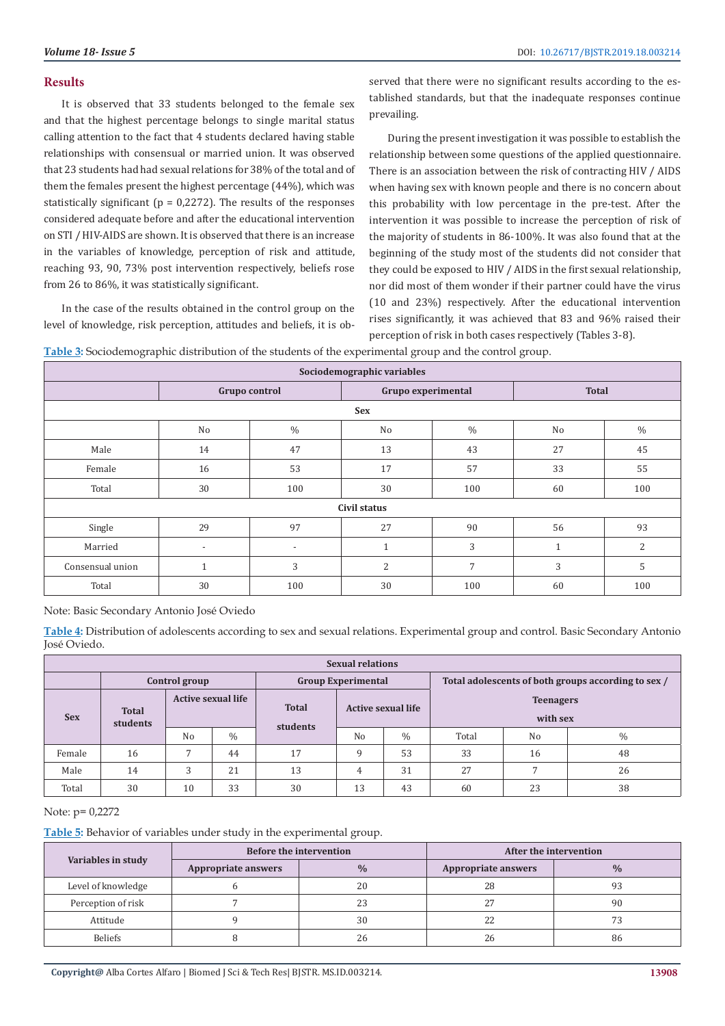#### **Results**

It is observed that 33 students belonged to the female sex and that the highest percentage belongs to single marital status calling attention to the fact that 4 students declared having stable relationships with consensual or married union. It was observed that 23 students had had sexual relations for 38% of the total and of them the females present the highest percentage (44%), which was statistically significant ( $p = 0.2272$ ). The results of the responses considered adequate before and after the educational intervention on STI / HIV-AIDS are shown. It is observed that there is an increase in the variables of knowledge, perception of risk and attitude, reaching 93, 90, 73% post intervention respectively, beliefs rose from 26 to 86%, it was statistically significant.

In the case of the results obtained in the control group on the level of knowledge, risk perception, attitudes and beliefs, it is observed that there were no significant results according to the established standards, but that the inadequate responses continue prevailing.

During the present investigation it was possible to establish the relationship between some questions of the applied questionnaire. There is an association between the risk of contracting HIV / AIDS when having sex with known people and there is no concern about this probability with low percentage in the pre-test. After the intervention it was possible to increase the perception of risk of the majority of students in 86-100%. It was also found that at the beginning of the study most of the students did not consider that they could be exposed to HIV / AIDS in the first sexual relationship, nor did most of them wonder if their partner could have the virus (10 and 23%) respectively. After the educational intervention rises significantly, it was achieved that 83 and 96% raised their perception of risk in both cases respectively (Tables 3-8).

| Sociodemographic variables |                          |               |                    |               |              |                |
|----------------------------|--------------------------|---------------|--------------------|---------------|--------------|----------------|
|                            | Grupo control            |               | Grupo experimental |               | <b>Total</b> |                |
|                            |                          |               | <b>Sex</b>         |               |              |                |
|                            | No                       | $\frac{0}{0}$ | No                 | $\frac{0}{0}$ | No           | $\%$           |
| Male                       | 14                       | 47            | 13                 | 43            | 27           | 45             |
| Female                     | 16                       | 53            | 17                 | 57            | 33           | 55             |
| Total                      | 30                       | 100           | 30                 | 100           | 60           | 100            |
| Civil status               |                          |               |                    |               |              |                |
| Single                     | 29                       | 97            | 27                 | 90            | 56           | 93             |
| Married                    | $\overline{\phantom{a}}$ | ٠             | 1                  | 3             | и            | $\overline{2}$ |
| Consensual union           | $\mathbf{1}$             | 3             | $\overline{2}$     | 7             | 3            | 5              |
| Total                      | 30                       | 100           | 30                 | 100           | 60           | 100            |

**Table 3:** Sociodemographic distribution of the students of the experimental group and the control group.

Note: Basic Secondary Antonio José Oviedo

**Table 4:** Distribution of adolescents according to sex and sexual relations. Experimental group and control. Basic Secondary Antonio José Oviedo.

| <b>Sexual relations</b> |                                            |                           |               |                                                       |                |                                                     |                              |                |      |
|-------------------------|--------------------------------------------|---------------------------|---------------|-------------------------------------------------------|----------------|-----------------------------------------------------|------------------------------|----------------|------|
|                         | Control group<br><b>Group Experimental</b> |                           |               |                                                       |                | Total adolescents of both groups according to sex / |                              |                |      |
| <b>Sex</b>              | <b>Total</b><br>students                   | <b>Active sexual life</b> |               | <b>Total</b><br><b>Active sexual life</b><br>students |                |                                                     | <b>Teenagers</b><br>with sex |                |      |
|                         |                                            | N <sub>o</sub>            | $\frac{0}{0}$ |                                                       | N <sub>0</sub> | $\frac{0}{0}$                                       | Total                        | N <sub>0</sub> | $\%$ |
| Female                  | 16                                         |                           | 44            | 17                                                    | $\Omega$       | 53                                                  | 33                           | 16             | 48   |
| Male                    | 14                                         | 3                         | 21            | 13                                                    | 4              | 31                                                  | 27                           |                | 26   |
| Total                   | 30                                         | 10                        | 33            | 30                                                    | 13             | 43                                                  | 60                           | 23             | 38   |

## Note: p= 0,2272

**Table 5:** Behavior of variables under study in the experimental group.

| Variables in study |                                      | <b>Before the intervention</b> | After the intervention |               |  |
|--------------------|--------------------------------------|--------------------------------|------------------------|---------------|--|
|                    | $\frac{0}{0}$<br>Appropriate answers |                                | Appropriate answers    | $\frac{0}{0}$ |  |
| Level of knowledge |                                      | 20                             | 28                     |               |  |
| Perception of risk |                                      | 23                             | 27                     | 90            |  |
| Attitude           |                                      | 30                             | 22                     | חה            |  |
| <b>Beliefs</b>     |                                      | 26                             | 26                     | 86            |  |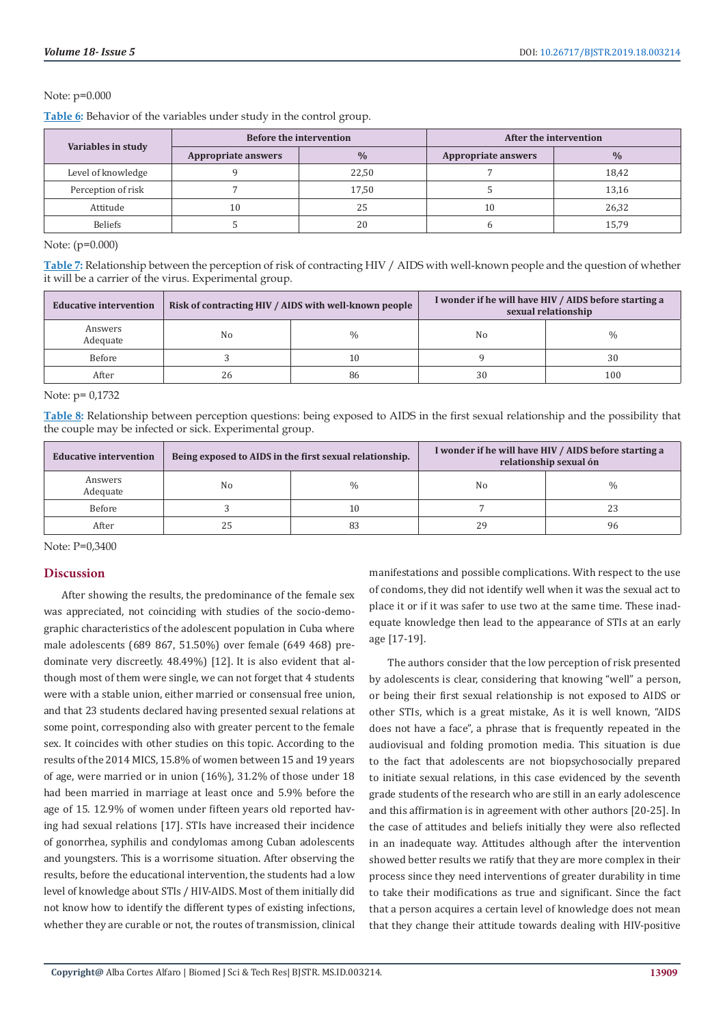#### Note: p=0.000

**Table 6:** Behavior of the variables under study in the control group.

| Variables in study | <b>Before the intervention</b> |               | After the intervention |               |  |
|--------------------|--------------------------------|---------------|------------------------|---------------|--|
|                    | Appropriate answers            | $\frac{0}{0}$ | Appropriate answers    | $\frac{0}{0}$ |  |
| Level of knowledge |                                | 22,50         |                        | 18,42         |  |
| Perception of risk |                                | 17,50         |                        | 13,16         |  |
| Attitude           | 10                             | 25            | $10\,$                 | 26,32         |  |
| Beliefs            |                                | 20            |                        | 15,79         |  |

Note: (p=0.000)

**Table 7:** Relationship between the perception of risk of contracting HIV / AIDS with well-known people and the question of whether it will be a carrier of the virus. Experimental group.

| <b>Educative intervention</b> |    | Risk of contracting HIV / AIDS with well-known people |    | I wonder if he will have HIV / AIDS before starting a<br>sexual relationship |
|-------------------------------|----|-------------------------------------------------------|----|------------------------------------------------------------------------------|
| Answers<br>Adequate           | No | $\frac{0}{0}$                                         | No | $\%$                                                                         |
| Before                        |    | 10                                                    |    | 30                                                                           |
| After                         | 26 | 86                                                    | 30 | 100                                                                          |

Note: p= 0,1732

**Table 8:** Relationship between perception questions: being exposed to AIDS in the first sexual relationship and the possibility that the couple may be infected or sick. Experimental group.

| <b>Educative intervention</b> |    | Being exposed to AIDS in the first sexual relationship. |    | I wonder if he will have HIV / AIDS before starting a<br>relationship sexual ón |
|-------------------------------|----|---------------------------------------------------------|----|---------------------------------------------------------------------------------|
| Answers<br>Adequate           | No | $\frac{0}{0}$                                           | No | $\frac{0}{0}$                                                                   |
| Before                        |    | 10                                                      |    | 23                                                                              |
| After                         |    | 83                                                      | 29 | 96                                                                              |

Note: P=0,3400

#### **Discussion**

After showing the results, the predominance of the female sex was appreciated, not coinciding with studies of the socio-demographic characteristics of the adolescent population in Cuba where male adolescents (689 867, 51.50%) over female (649 468) predominate very discreetly. 48.49%) [12]. It is also evident that although most of them were single, we can not forget that 4 students were with a stable union, either married or consensual free union, and that 23 students declared having presented sexual relations at some point, corresponding also with greater percent to the female sex. It coincides with other studies on this topic. According to the results of the 2014 MICS, 15.8% of women between 15 and 19 years of age, were married or in union (16%), 31.2% of those under 18 had been married in marriage at least once and 5.9% before the age of 15. 12.9% of women under fifteen years old reported having had sexual relations [17]. STIs have increased their incidence of gonorrhea, syphilis and condylomas among Cuban adolescents and youngsters. This is a worrisome situation. After observing the results, before the educational intervention, the students had a low level of knowledge about STIs / HIV-AIDS. Most of them initially did not know how to identify the different types of existing infections, whether they are curable or not, the routes of transmission, clinical

manifestations and possible complications. With respect to the use of condoms, they did not identify well when it was the sexual act to place it or if it was safer to use two at the same time. These inadequate knowledge then lead to the appearance of STIs at an early age [17-19].

The authors consider that the low perception of risk presented by adolescents is clear, considering that knowing "well" a person, or being their first sexual relationship is not exposed to AIDS or other STIs, which is a great mistake, As it is well known, "AIDS does not have a face", a phrase that is frequently repeated in the audiovisual and folding promotion media. This situation is due to the fact that adolescents are not biopsychosocially prepared to initiate sexual relations, in this case evidenced by the seventh grade students of the research who are still in an early adolescence and this affirmation is in agreement with other authors [20-25]. In the case of attitudes and beliefs initially they were also reflected in an inadequate way. Attitudes although after the intervention showed better results we ratify that they are more complex in their process since they need interventions of greater durability in time to take their modifications as true and significant. Since the fact that a person acquires a certain level of knowledge does not mean that they change their attitude towards dealing with HIV-positive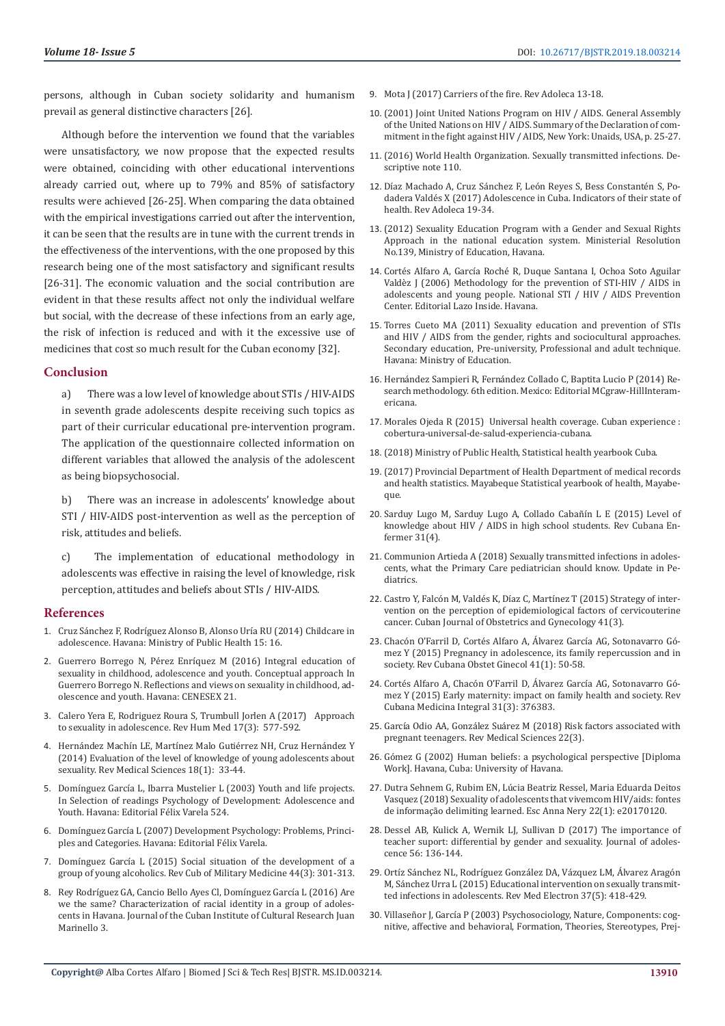persons, although in Cuban society solidarity and humanism prevail as general distinctive characters [26].

Although before the intervention we found that the variables were unsatisfactory, we now propose that the expected results were obtained, coinciding with other educational interventions already carried out, where up to 79% and 85% of satisfactory results were achieved [26-25]. When comparing the data obtained with the empirical investigations carried out after the intervention, it can be seen that the results are in tune with the current trends in the effectiveness of the interventions, with the one proposed by this research being one of the most satisfactory and significant results [26-31]. The economic valuation and the social contribution are evident in that these results affect not only the individual welfare but social, with the decrease of these infections from an early age, the risk of infection is reduced and with it the excessive use of medicines that cost so much result for the Cuban economy [32].

#### **Conclusion**

a) There was a low level of knowledge about STIs / HIV-AIDS in seventh grade adolescents despite receiving such topics as part of their curricular educational pre-intervention program. The application of the questionnaire collected information on different variables that allowed the analysis of the adolescent as being biopsychosocial.

b) There was an increase in adolescents' knowledge about STI / HIV-AIDS post-intervention as well as the perception of risk, attitudes and beliefs.

c) The implementation of educational methodology in adolescents was effective in raising the level of knowledge, risk perception, attitudes and beliefs about STIs / HIV-AIDS.

#### **References**

- 1. Cruz Sánchez F, Rodríguez Alonso B, Alonso Uría RU (2014) Childcare in adolescence. Havana: Ministry of Public Health 15: 16.
- 2. Guerrero Borrego N, Pérez Enríquez M (2016) Integral education of sexuality in childhood, adolescence and youth. Conceptual approach In Guerrero Borrego N. Reflections and views on sexuality in childhood, adolescence and youth. Havana: CENESEX 21.
- 3. Calero Yera E, Rodriguez Roura S, Trumbull Jorlen A (2017) Approach to sexuality in adolescence. Rev Hum Med 17(3): 577-592.
- 4. Hernández Machín LE, Martínez Malo Gutiérrez NH, Cruz Hernández Y (2014) Evaluation of the level of knowledge of young adolescents about sexuality. Rev Medical Sciences 18(1): 33-44.
- 5. Domínguez García L, Ibarra Mustelier L (2003) Youth and life projects. In Selection of readings Psychology of Development: Adolescence and Youth. Havana: Editorial Félix Varela 524.
- 6. Domínguez García L (2007) Development Psychology: Problems, Principles and Categories. Havana: Editorial Félix Varela.
- 7. Domínguez García L (2015) Social situation of the development of a group of young alcoholics. Rev Cub of Military Medicine 44(3): 301-313.
- 8. Rey Rodríguez GA, Cancio Bello Ayes Cl, Domínguez García L (2016) Are we the same? Characterization of racial identity in a group of adolescents in Havana. Journal of the Cuban Institute of Cultural Research Juan Marinello 3.
- 9. Mota J (2017) Carriers of the fire. Rev Adoleca 13-18.
- 10. (2001) Joint United Nations Program on HIV / AIDS. General Assembly of the United Nations on HIV / AIDS. Summary of the Declaration of commitment in the fight against HIV / AIDS, New York: Unaids, USA, p. 25-27.
- 11. [\(2016\) World Health Organization. Sexually transmitted infections. De](https://www.who.int/mediacentre/factsheets/fs110/es)[scriptive note 110.](https://www.who.int/mediacentre/factsheets/fs110/es)
- 12. [Díaz Machado A, Cruz Sánchez F, León Reyes S, Bess Constantén S, Po](http://cedisap.sld.cu/)[dadera Valdés X \(2017\) Adolescence in Cuba. Indicators of their state of](http://cedisap.sld.cu/) [health. Rev Adoleca 19-34.](http://cedisap.sld.cu/)
- 13. (2012) Sexuality Education Program with a Gender and Sexual Rights Approach in the national education system. Ministerial Resolution No.139, Ministry of Education, Havana.
- 14. Cortés Alfaro A, García Roché R, Duque Santana I, Ochoa Soto Aguilar Valdèz J (2006) Methodology for the prevention of STI-HIV / AIDS in adolescents and young people. National STI / HIV / AIDS Prevention Center. Editorial Lazo Inside. Havana.
- 15. [Torres Cueto MA \(2011\) Sexuality education and prevention of STIs](https://unesdoc.unesco.org/ark:/48223/pf0000217162) [and HIV / AIDS from the gender, rights and sociocultural approaches.](https://unesdoc.unesco.org/ark:/48223/pf0000217162) [Secondary education, Pre-university, Professional and adult technique.](https://unesdoc.unesco.org/ark:/48223/pf0000217162) [Havana: Ministry of Education.](https://unesdoc.unesco.org/ark:/48223/pf0000217162)
- 16. Hernández Sampieri R, Fernández Collado C, Baptita Lucio P (2014) Research methodology. 6th edition. Mexico: Editorial MCgraw-HillInteramericana.
- 17. [Morales Ojeda R \(2015\) Universal health coverage. Cuban experience :](http://www.sld.cu/noticia/2015/04/21/cobertura-universal-de-salud-experiencia-cubana) [cobertura-universal-de-salud-experiencia-cubana.](http://www.sld.cu/noticia/2015/04/21/cobertura-universal-de-salud-experiencia-cubana)
- 18. (2018) Ministry of Public Health, Statistical health yearbook Cuba.
- 19. (2017) Provincial Department of Health Department of medical records and health statistics. Mayabeque Statistical yearbook of health, Mayabeque.
- 20. [Sarduy Lugo M, Sarduy Lugo A, Collado Cabañín L E \(2015\) Level of](http://www.revenfermeria.sld.cu/index.php/enf/rt/printerFriendly/709/137) [knowledge about HIV / AIDS in high school students. Rev Cubana En](http://www.revenfermeria.sld.cu/index.php/enf/rt/printerFriendly/709/137)[fermer 31\(4\).](http://www.revenfermeria.sld.cu/index.php/enf/rt/printerFriendly/709/137)
- 21. [Communion Artieda A \(2018\) Sexually transmitted infections in adoles](https://www.aepap.org/sites/default/files/201-207_infecciones_transmision_sexual.pdf)[cents, what the Primary Care pediatrician should know. Update in Pe](https://www.aepap.org/sites/default/files/201-207_infecciones_transmision_sexual.pdf)[diatrics.](https://www.aepap.org/sites/default/files/201-207_infecciones_transmision_sexual.pdf)
- 22. Castro Y, Falcón M, Valdés K, Díaz C, Martínez T (2015) Strategy of intervention on the perception of epidemiological factors of cervicouterine cancer. Cuban Journal of Obstetrics and Gynecology 41(3).
- 23. Chacón O'Farril D, Cortés Alfaro A, Álvarez García AG, Sotonavarro Gómez Y (2015) Pregnancy in adolescence, its family repercussion and in society. Rev Cubana Obstet Ginecol 41(1): 50-58.
- 24. [Cortés Alfaro A, Chacón O'Farril D, Álvarez García AG, Sotonavarro Gó](http://www.revmgi.sld.cu/index.php/mgi/article/view/68)[mez Y \(2015\) Early maternity: impact on family health and society. Rev](http://www.revmgi.sld.cu/index.php/mgi/article/view/68) [Cubana Medicina Integral 31\(3\): 376383.](http://www.revmgi.sld.cu/index.php/mgi/article/view/68)
- 25. [García Odio AA, González Suárez M \(2018\) Risk factors associated with](http://www.revcmpinar.sld.cu/index.php/publicaciones/article/view/3459) [pregnant teenagers. Rev Medical Sciences 22\(3\).](http://www.revcmpinar.sld.cu/index.php/publicaciones/article/view/3459)
- 26. Gómez G (2002) Human beliefs: a psychological perspective [Diploma Work]. Havana, Cuba: University of Havana.
- 27. [Dutra Sehnem G, Rubim EN, Lúcia Beatriz Ressel, Maria Eduarda Deitos](http://www.scielo.br/pdf/ean/v22n1/pt_1414-8145-ean-2177-9465-EAN-2017-0120.pdf) [Vasquez \(2018\) Sexuality of adolescents that vivemcom HIV/aids: fontes](http://www.scielo.br/pdf/ean/v22n1/pt_1414-8145-ean-2177-9465-EAN-2017-0120.pdf) [de informação delimiting learned. Esc Anna Nery 22\(1\): e20170120.](http://www.scielo.br/pdf/ean/v22n1/pt_1414-8145-ean-2177-9465-EAN-2017-0120.pdf)
- 28. [Dessel AB, Kulick A, Wernik LJ, Sullivan D \(2017\) The importance of](https://www.researchgate.net/publication/313883376_The_importance_of_teacher_support_Differential_impacts_by_gender_and_sexuality) [teacher suport: differential by gender and sexuality. Journal of adoles](https://www.researchgate.net/publication/313883376_The_importance_of_teacher_support_Differential_impacts_by_gender_and_sexuality)[cence 56: 136-144.](https://www.researchgate.net/publication/313883376_The_importance_of_teacher_support_Differential_impacts_by_gender_and_sexuality)
- 29. Ortíz Sánchez NL, Rodríguez González DA, Vázquez LM, Álvarez Aragón M, Sánchez Urra L (2015) Educational intervention on sexually transmitted infections in adolescents. Rev Med Electron 37(5): 418-429.
- 30. Villaseñor J, García P (2003) Psychosociology, Nature, Components: cognitive, affective and behavioral, Formation, Theories, Stereotypes, Prej-